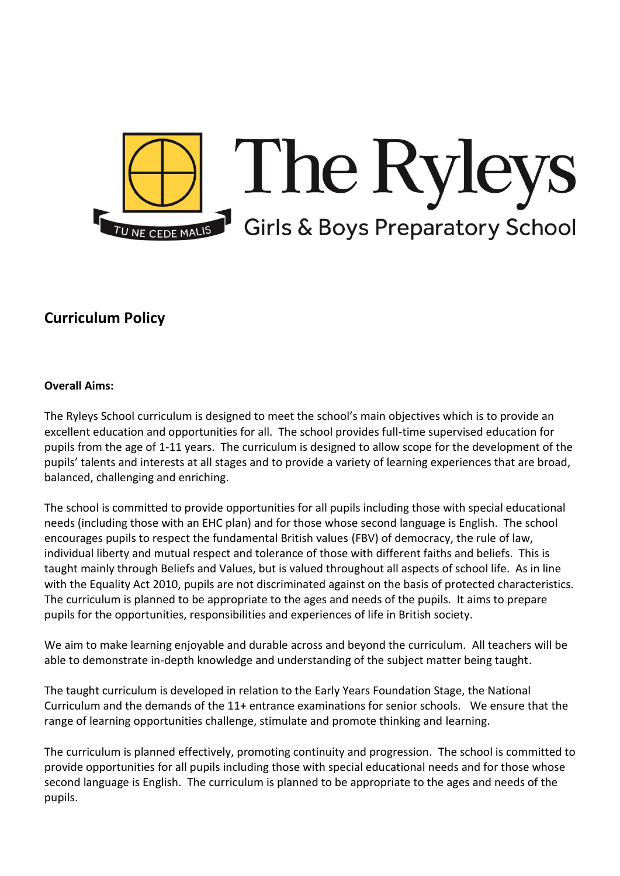

# **Curriculum Policy**

#### **Overall Aims:**

The Ryleys School curriculum is designed to meet the school's main objectives which is to provide an excellent education and opportunities for all. The school provides full-time supervised education for pupils from the age of 1-11 years. The curriculum is designed to allow scope for the development of the pupils' talents and interests at all stages and to provide a variety of learning experiences that are broad, balanced, challenging and enriching.

The school is committed to provide opportunities for all pupils including those with special educational needs (including those with an EHC plan) and for those whose second language is English. The school encourages pupils to respect the fundamental British values (FBV) of democracy, the rule of law, individual liberty and mutual respect and tolerance of those with different faiths and beliefs. This is taught mainly through Beliefs and Values, but is valued throughout all aspects of school life. As in line with the Equality Act 2010, pupils are not discriminated against on the basis of protected characteristics. The curriculum is planned to be appropriate to the ages and needs of the pupils. It aims to prepare pupils for the opportunities, responsibilities and experiences of life in British society.

We aim to make learning enjoyable and durable across and beyond the curriculum. All teachers will be able to demonstrate in-depth knowledge and understanding of the subject matter being taught.

The taught curriculum is developed in relation to the Early Years Foundation Stage, the National Curriculum and the demands of the 11+ entrance examinations for senior schools. We ensure that the range of learning opportunities challenge, stimulate and promote thinking and learning.

The curriculum is planned effectively, promoting continuity and progression. The school is committed to provide opportunities for all pupils including those with special educational needs and for those whose second language is English. The curriculum is planned to be appropriate to the ages and needs of the pupils.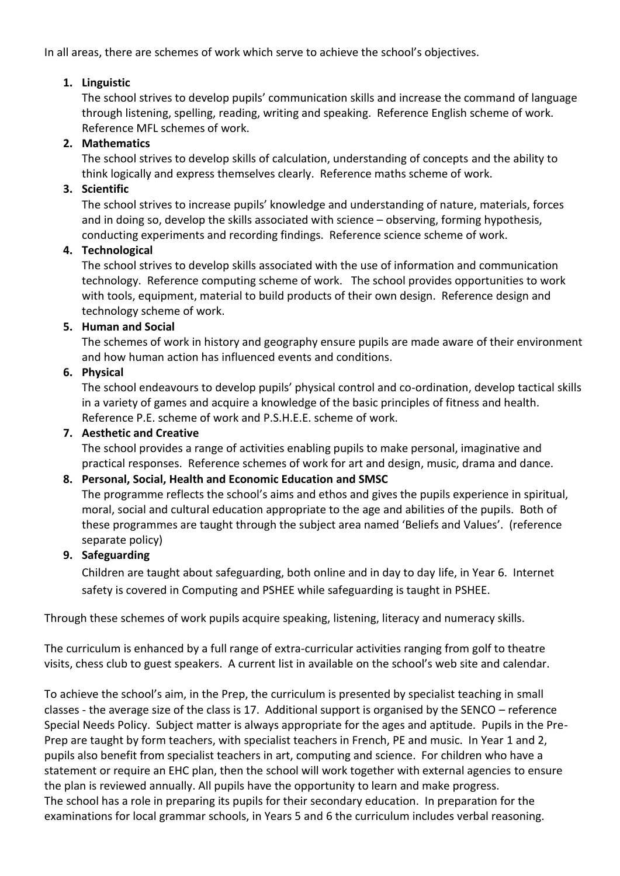In all areas, there are schemes of work which serve to achieve the school's objectives.

# **1. Linguistic**

The school strives to develop pupils' communication skills and increase the command of language through listening, spelling, reading, writing and speaking. Reference English scheme of work. Reference MFL schemes of work.

# **2. Mathematics**

The school strives to develop skills of calculation, understanding of concepts and the ability to think logically and express themselves clearly. Reference maths scheme of work.

## **3. Scientific**

The school strives to increase pupils' knowledge and understanding of nature, materials, forces and in doing so, develop the skills associated with science – observing, forming hypothesis, conducting experiments and recording findings. Reference science scheme of work.

## **4. Technological**

The school strives to develop skills associated with the use of information and communication technology. Reference computing scheme of work. The school provides opportunities to work with tools, equipment, material to build products of their own design. Reference design and technology scheme of work.

#### **5. Human and Social**

The schemes of work in history and geography ensure pupils are made aware of their environment and how human action has influenced events and conditions.

## **6. Physical**

The school endeavours to develop pupils' physical control and co-ordination, develop tactical skills in a variety of games and acquire a knowledge of the basic principles of fitness and health. Reference P.E. scheme of work and P.S.H.E.E. scheme of work.

#### **7. Aesthetic and Creative**

The school provides a range of activities enabling pupils to make personal, imaginative and practical responses. Reference schemes of work for art and design, music, drama and dance.

## **8. Personal, Social, Health and Economic Education and SMSC**

The programme reflects the school's aims and ethos and gives the pupils experience in spiritual, moral, social and cultural education appropriate to the age and abilities of the pupils. Both of these programmes are taught through the subject area named 'Beliefs and Values'. (reference separate policy)

## **9. Safeguarding**

Children are taught about safeguarding, both online and in day to day life, in Year 6. Internet safety is covered in Computing and PSHEE while safeguarding is taught in PSHEE.

Through these schemes of work pupils acquire speaking, listening, literacy and numeracy skills.

The curriculum is enhanced by a full range of extra-curricular activities ranging from golf to theatre visits, chess club to guest speakers. A current list in available on the school's web site and calendar.

To achieve the school's aim, in the Prep, the curriculum is presented by specialist teaching in small classes - the average size of the class is 17. Additional support is organised by the SENCO – reference Special Needs Policy. Subject matter is always appropriate for the ages and aptitude. Pupils in the Pre-Prep are taught by form teachers, with specialist teachers in French, PE and music. In Year 1 and 2, pupils also benefit from specialist teachers in art, computing and science. For children who have a statement or require an EHC plan, then the school will work together with external agencies to ensure the plan is reviewed annually. All pupils have the opportunity to learn and make progress. The school has a role in preparing its pupils for their secondary education. In preparation for the examinations for local grammar schools, in Years 5 and 6 the curriculum includes verbal reasoning.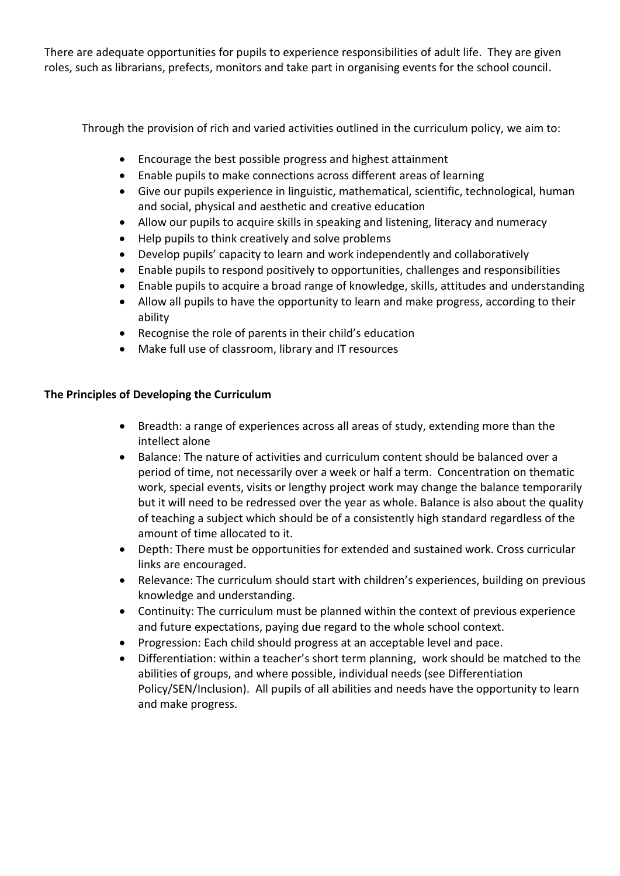There are adequate opportunities for pupils to experience responsibilities of adult life. They are given roles, such as librarians, prefects, monitors and take part in organising events for the school council.

Through the provision of rich and varied activities outlined in the curriculum policy, we aim to:

- Encourage the best possible progress and highest attainment
- Enable pupils to make connections across different areas of learning
- Give our pupils experience in linguistic, mathematical, scientific, technological, human and social, physical and aesthetic and creative education
- Allow our pupils to acquire skills in speaking and listening, literacy and numeracy
- Help pupils to think creatively and solve problems
- Develop pupils' capacity to learn and work independently and collaboratively
- Enable pupils to respond positively to opportunities, challenges and responsibilities
- Enable pupils to acquire a broad range of knowledge, skills, attitudes and understanding
- Allow all pupils to have the opportunity to learn and make progress, according to their ability
- Recognise the role of parents in their child's education
- Make full use of classroom, library and IT resources

# **The Principles of Developing the Curriculum**

- Breadth: a range of experiences across all areas of study, extending more than the intellect alone
- Balance: The nature of activities and curriculum content should be balanced over a period of time, not necessarily over a week or half a term. Concentration on thematic work, special events, visits or lengthy project work may change the balance temporarily but it will need to be redressed over the year as whole. Balance is also about the quality of teaching a subject which should be of a consistently high standard regardless of the amount of time allocated to it.
- Depth: There must be opportunities for extended and sustained work. Cross curricular links are encouraged.
- Relevance: The curriculum should start with children's experiences, building on previous knowledge and understanding.
- Continuity: The curriculum must be planned within the context of previous experience and future expectations, paying due regard to the whole school context.
- Progression: Each child should progress at an acceptable level and pace.
- Differentiation: within a teacher's short term planning, work should be matched to the abilities of groups, and where possible, individual needs (see Differentiation Policy/SEN/Inclusion). All pupils of all abilities and needs have the opportunity to learn and make progress.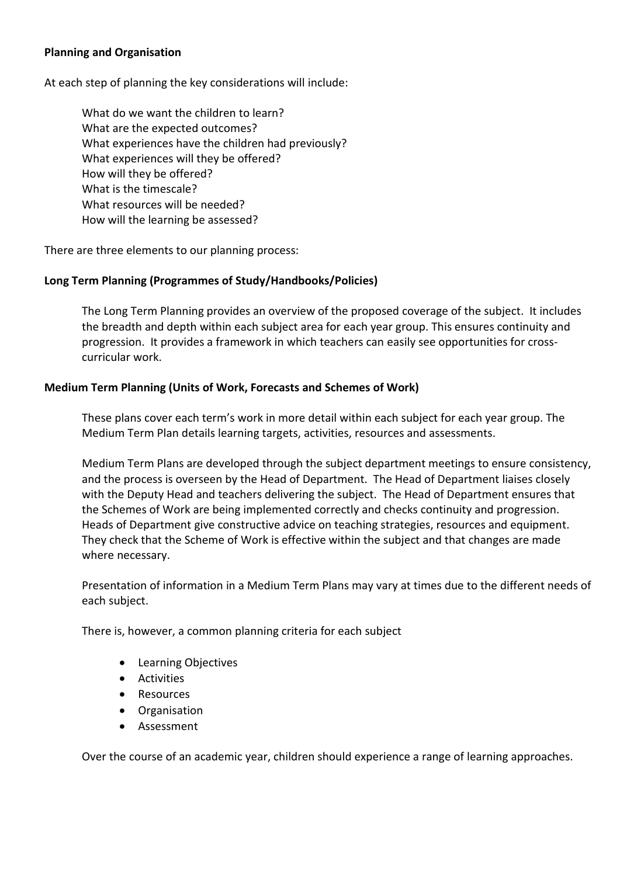#### **Planning and Organisation**

At each step of planning the key considerations will include:

What do we want the children to learn? What are the expected outcomes? What experiences have the children had previously? What experiences will they be offered? How will they be offered? What is the timescale? What resources will be needed? How will the learning be assessed?

There are three elements to our planning process:

#### **Long Term Planning (Programmes of Study/Handbooks/Policies)**

The Long Term Planning provides an overview of the proposed coverage of the subject. It includes the breadth and depth within each subject area for each year group. This ensures continuity and progression. It provides a framework in which teachers can easily see opportunities for crosscurricular work.

#### **Medium Term Planning (Units of Work, Forecasts and Schemes of Work)**

These plans cover each term's work in more detail within each subject for each year group. The Medium Term Plan details learning targets, activities, resources and assessments.

Medium Term Plans are developed through the subject department meetings to ensure consistency, and the process is overseen by the Head of Department. The Head of Department liaises closely with the Deputy Head and teachers delivering the subject. The Head of Department ensures that the Schemes of Work are being implemented correctly and checks continuity and progression. Heads of Department give constructive advice on teaching strategies, resources and equipment. They check that the Scheme of Work is effective within the subject and that changes are made where necessary.

Presentation of information in a Medium Term Plans may vary at times due to the different needs of each subject.

There is, however, a common planning criteria for each subject

- Learning Objectives
- **•** Activities
- Resources
- **•** Organisation
- Assessment

Over the course of an academic year, children should experience a range of learning approaches.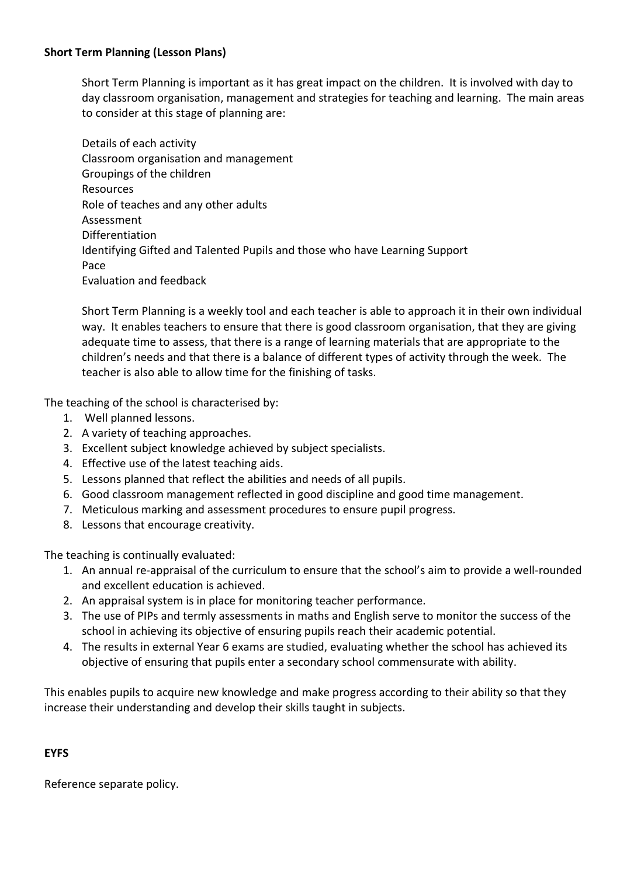## **Short Term Planning (Lesson Plans)**

Short Term Planning is important as it has great impact on the children. It is involved with day to day classroom organisation, management and strategies for teaching and learning. The main areas to consider at this stage of planning are:

Details of each activity Classroom organisation and management Groupings of the children Resources Role of teaches and any other adults Assessment Differentiation Identifying Gifted and Talented Pupils and those who have Learning Support Pace Evaluation and feedback

Short Term Planning is a weekly tool and each teacher is able to approach it in their own individual way. It enables teachers to ensure that there is good classroom organisation, that they are giving adequate time to assess, that there is a range of learning materials that are appropriate to the children's needs and that there is a balance of different types of activity through the week. The teacher is also able to allow time for the finishing of tasks.

The teaching of the school is characterised by:

- 1. Well planned lessons.
- 2. A variety of teaching approaches.
- 3. Excellent subject knowledge achieved by subject specialists.
- 4. Effective use of the latest teaching aids.
- 5. Lessons planned that reflect the abilities and needs of all pupils.
- 6. Good classroom management reflected in good discipline and good time management.
- 7. Meticulous marking and assessment procedures to ensure pupil progress.
- 8. Lessons that encourage creativity.

The teaching is continually evaluated:

- 1. An annual re-appraisal of the curriculum to ensure that the school's aim to provide a well-rounded and excellent education is achieved.
- 2. An appraisal system is in place for monitoring teacher performance.
- 3. The use of PIPs and termly assessments in maths and English serve to monitor the success of the school in achieving its objective of ensuring pupils reach their academic potential.
- 4. The results in external Year 6 exams are studied, evaluating whether the school has achieved its objective of ensuring that pupils enter a secondary school commensurate with ability.

This enables pupils to acquire new knowledge and make progress according to their ability so that they increase their understanding and develop their skills taught in subjects.

## **EYFS**

Reference separate policy.